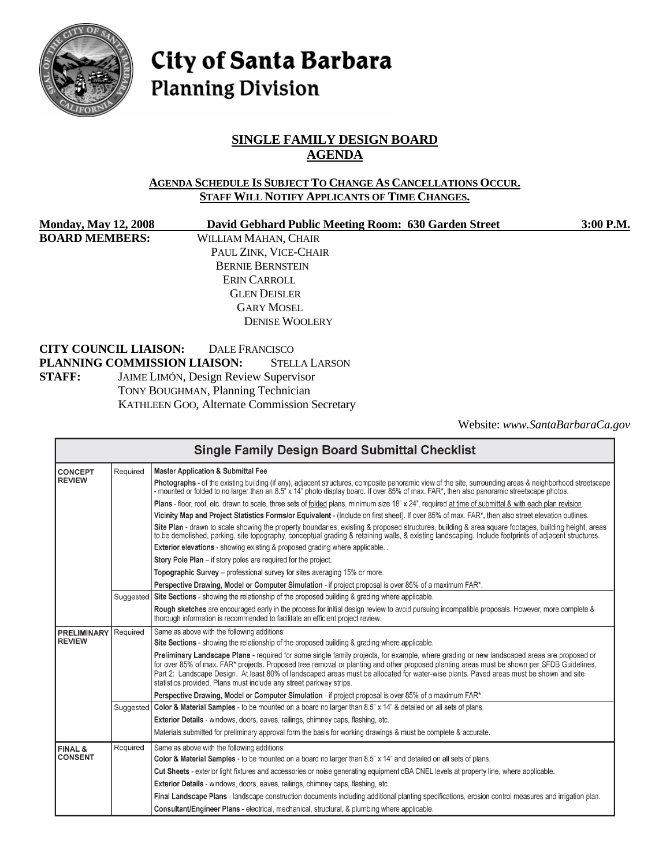

# City of Santa Barbara **Planning Division**

# **SINGLE FAMILY DESIGN BOARD AGENDA**

#### **AGENDA SCHEDULE IS SUBJECT TO CHANGE AS CANCELLATIONS OCCUR. STAFF WILL NOTIFY APPLICANTS OF TIME CHANGES.**

| <b>Monday, May 12, 2008</b>  | David Gebhard Public Meeting Room: 630 Garden Street | 3:00 P.M. |
|------------------------------|------------------------------------------------------|-----------|
| <b>BOARD MEMBERS:</b>        | WILLIAM MAHAN, CHAIR                                 |           |
|                              | PAUL ZINK, VICE-CHAIR                                |           |
|                              | <b>BERNIE BERNSTEIN</b>                              |           |
|                              | ERIN CARROLL                                         |           |
|                              | <b>GLEN DEISLER</b>                                  |           |
|                              | <b>GARY MOSEL</b>                                    |           |
|                              | <b>DENISE WOOLERY</b>                                |           |
| <b>CITY COUNCIL LIAISON:</b> | DALE FRANCISCO                                       |           |
|                              | PLANNING COMMISSION LIAISON:<br><b>STELLA LARSON</b> |           |
| <b>STAFF:</b>                | JAIME LIMÓN, Design Review Supervisor                |           |
|                              | <b>TONY BOUGHMAN, Planning Technician</b>            |           |
|                              | <b>KATHLEEN GOO, Alternate Commission Secretary</b>  |           |

Website: *[www.SantaBarbaraCa.gov](http://www.santabarbaraca.gov/)*

| <b>Single Family Design Board Submittal Checklist</b> |           |                                                                                                                                                                                                                                                                                                                                                                                                                                                                                                          |  |  |  |
|-------------------------------------------------------|-----------|----------------------------------------------------------------------------------------------------------------------------------------------------------------------------------------------------------------------------------------------------------------------------------------------------------------------------------------------------------------------------------------------------------------------------------------------------------------------------------------------------------|--|--|--|
| <b>CONCEPT</b>                                        | Required  | <b>Master Application &amp; Submittal Fee</b>                                                                                                                                                                                                                                                                                                                                                                                                                                                            |  |  |  |
| <b>REVIEW</b>                                         |           | Photographs - of the existing building (if any), adjacent structures, composite panoramic view of the site, surrounding areas & neighborhood streetscape<br>- mounted or folded to no larger than an 8.5" x 14" photo display board. If over 85% of max. FAR*, then also panoramic streetscape photos.                                                                                                                                                                                                   |  |  |  |
|                                                       |           | Plans - floor, roof, etc. drawn to scale, three sets of folded plans, minimum size 18" x 24", required at time of submittal & with each plan revision.                                                                                                                                                                                                                                                                                                                                                   |  |  |  |
|                                                       |           | Vicinity Map and Project Statistics Forms/or Equivalent - (Include on first sheet). If over 85% of max. FAR*, then also street elevation outlines.                                                                                                                                                                                                                                                                                                                                                       |  |  |  |
|                                                       |           | Site Plan - drawn to scale showing the property boundaries, existing & proposed structures, building & area square footages, building height, areas<br>to be demolished, parking, site topography, conceptual grading & retaining walls, & existing landscaping. Include footprints of adjacent structures.                                                                                                                                                                                              |  |  |  |
|                                                       |           | <b>Exterior elevations</b> - showing existing & proposed grading where applicable                                                                                                                                                                                                                                                                                                                                                                                                                        |  |  |  |
|                                                       |           | Story Pole Plan - if story poles are required for the project.                                                                                                                                                                                                                                                                                                                                                                                                                                           |  |  |  |
|                                                       |           | Topographic Survey – professional survey for sites averaging 15% or more.                                                                                                                                                                                                                                                                                                                                                                                                                                |  |  |  |
|                                                       |           | Perspective Drawing, Model or Computer Simulation - if project proposal is over 85% of a maximum FAR*.                                                                                                                                                                                                                                                                                                                                                                                                   |  |  |  |
|                                                       | Suggested | Site Sections - showing the relationship of the proposed building & grading where applicable.                                                                                                                                                                                                                                                                                                                                                                                                            |  |  |  |
|                                                       |           | Rough sketches are encouraged early in the process for initial design review to avoid pursuing incompatible proposals. However, more complete &<br>thorough information is recommended to facilitate an efficient project review.                                                                                                                                                                                                                                                                        |  |  |  |
| <b>PRELIMINARY</b>                                    | Required  | Same as above with the following additions:                                                                                                                                                                                                                                                                                                                                                                                                                                                              |  |  |  |
| <b>REVIEW</b>                                         |           | Site Sections - showing the relationship of the proposed building & grading where applicable.                                                                                                                                                                                                                                                                                                                                                                                                            |  |  |  |
|                                                       |           | Preliminary Landscape Plans - required for some single family projects, for example, where grading or new landscaped areas are proposed or<br>for over 85% of max. FAR* projects. Proposed tree removal or planting and other proposed planting areas must be shown per SFDB Guidelines,<br>Part 2: Landscape Design. At least 80% of landscaped areas must be allocated for water-wise plants. Paved areas must be shown and site<br>statistics provided. Plans must include any street parkway strips. |  |  |  |
|                                                       |           | Perspective Drawing, Model or Computer Simulation - if project proposal is over 85% of a maximum FAR*.                                                                                                                                                                                                                                                                                                                                                                                                   |  |  |  |
|                                                       | Suggested | Color & Material Samples - to be mounted on a board no larger than 8.5" x 14" & detailed on all sets of plans.                                                                                                                                                                                                                                                                                                                                                                                           |  |  |  |
|                                                       |           | Exterior Details - windows, doors, eaves, railings, chimney caps, flashing, etc.                                                                                                                                                                                                                                                                                                                                                                                                                         |  |  |  |
|                                                       |           | Materials submitted for preliminary approval form the basis for working drawings & must be complete & accurate.                                                                                                                                                                                                                                                                                                                                                                                          |  |  |  |
| <b>FINAL &amp;</b>                                    | Required  | Same as above with the following additions:                                                                                                                                                                                                                                                                                                                                                                                                                                                              |  |  |  |
| <b>CONSENT</b>                                        |           | Color & Material Samples - to be mounted on a board no larger than 8.5" x 14" and detailed on all sets of plans.                                                                                                                                                                                                                                                                                                                                                                                         |  |  |  |
|                                                       |           | Cut Sheets - exterior light fixtures and accessories or noise generating equipment dBA CNEL levels at property line, where applicable.                                                                                                                                                                                                                                                                                                                                                                   |  |  |  |
|                                                       |           | Exterior Details - windows, doors, eaves, railings, chimney caps, flashing, etc.                                                                                                                                                                                                                                                                                                                                                                                                                         |  |  |  |
|                                                       |           | Final Landscape Plans - landscape construction documents including additional planting specifications, erosion control measures and irrigation plan.                                                                                                                                                                                                                                                                                                                                                     |  |  |  |
|                                                       |           | Consultant/Engineer Plans - electrical, mechanical, structural, & plumbing where applicable.                                                                                                                                                                                                                                                                                                                                                                                                             |  |  |  |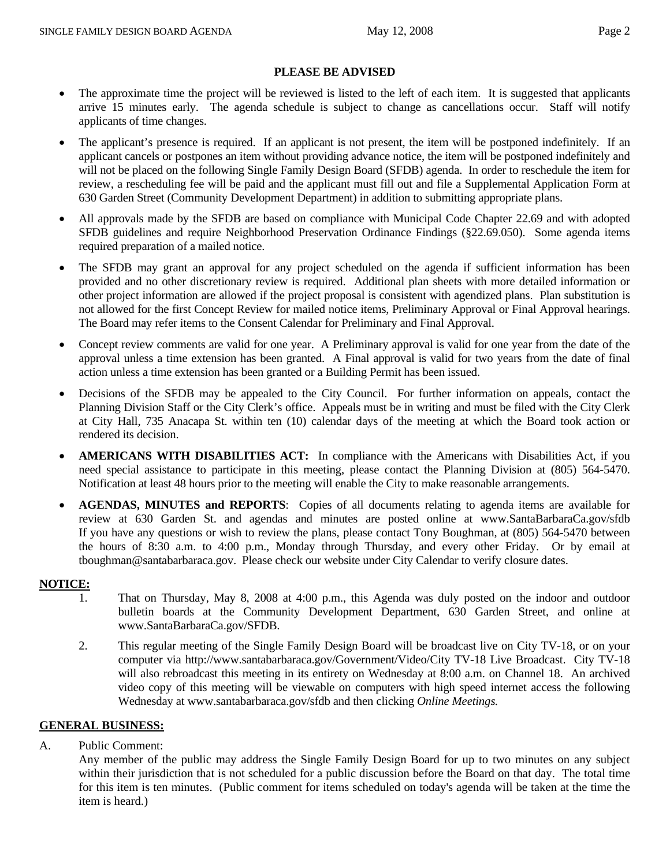# **PLEASE BE ADVISED**

- The approximate time the project will be reviewed is listed to the left of each item. It is suggested that applicants arrive 15 minutes early. The agenda schedule is subject to change as cancellations occur. Staff will notify applicants of time changes.
- The applicant's presence is required. If an applicant is not present, the item will be postponed indefinitely. If an applicant cancels or postpones an item without providing advance notice, the item will be postponed indefinitely and will not be placed on the following Single Family Design Board (SFDB) agenda. In order to reschedule the item for review, a rescheduling fee will be paid and the applicant must fill out and file a Supplemental Application Form at 630 Garden Street (Community Development Department) in addition to submitting appropriate plans.
- All approvals made by the SFDB are based on compliance with Municipal Code Chapter 22.69 and with adopted SFDB guidelines and require Neighborhood Preservation Ordinance Findings (§22.69.050). Some agenda items required preparation of a mailed notice.
- The SFDB may grant an approval for any project scheduled on the agenda if sufficient information has been provided and no other discretionary review is required. Additional plan sheets with more detailed information or other project information are allowed if the project proposal is consistent with agendized plans. Plan substitution is not allowed for the first Concept Review for mailed notice items, Preliminary Approval or Final Approval hearings. The Board may refer items to the Consent Calendar for Preliminary and Final Approval.
- Concept review comments are valid for one year. A Preliminary approval is valid for one year from the date of the approval unless a time extension has been granted. A Final approval is valid for two years from the date of final action unless a time extension has been granted or a Building Permit has been issued.
- Decisions of the SFDB may be appealed to the City Council. For further information on appeals, contact the Planning Division Staff or the City Clerk's office. Appeals must be in writing and must be filed with the City Clerk at City Hall, 735 Anacapa St. within ten (10) calendar days of the meeting at which the Board took action or rendered its decision.
- **AMERICANS WITH DISABILITIES ACT:** In compliance with the Americans with Disabilities Act, if you need special assistance to participate in this meeting, please contact the Planning Division at (805) 564-5470. Notification at least 48 hours prior to the meeting will enable the City to make reasonable arrangements.
- **AGENDAS, MINUTES and REPORTS**: Copies of all documents relating to agenda items are available for review at 630 Garden St. and agendas and minutes are posted online at [www.SantaBarbaraCa.gov/sfdb](http://www.santabarbaraca.gov/sfdb) If you have any questions or wish to review the plans, please contact Tony Boughman, at (805) 564-5470 between the hours of 8:30 a.m. to 4:00 p.m., Monday through Thursday, and every other Friday. Or by email at [tboughman@santabarbaraca.gov](mailto:tboughman@santabarbaraca.gov). Please check our website under City Calendar to verify closure dates.

#### **NOTICE:**

- 1. That on Thursday, May 8, 2008 at 4:00 p.m., this Agenda was duly posted on the indoor and outdoor bulletin boards at the Community Development Department, 630 Garden Street, and online at www.SantaBarbaraCa.gov/SFDB.
- 2. This regular meeting of the Single Family Design Board will be broadcast live on City TV-18, or on your computer via <http://www.santabarbaraca.gov/Government/Video/>City TV-18 Live Broadcast. City TV-18 will also rebroadcast this meeting in its entirety on Wednesday at 8:00 a.m. on Channel 18. An archived video copy of this meeting will be viewable on computers with high speed internet access the following Wednesday at [www.santabarbaraca.gov/sfdb](http://www.santabarbaraca.gov/sfdb) and then clicking *Online Meetings.*

#### **GENERAL BUSINESS:**

A. Public Comment:

Any member of the public may address the Single Family Design Board for up to two minutes on any subject within their jurisdiction that is not scheduled for a public discussion before the Board on that day. The total time for this item is ten minutes. (Public comment for items scheduled on today's agenda will be taken at the time the item is heard.)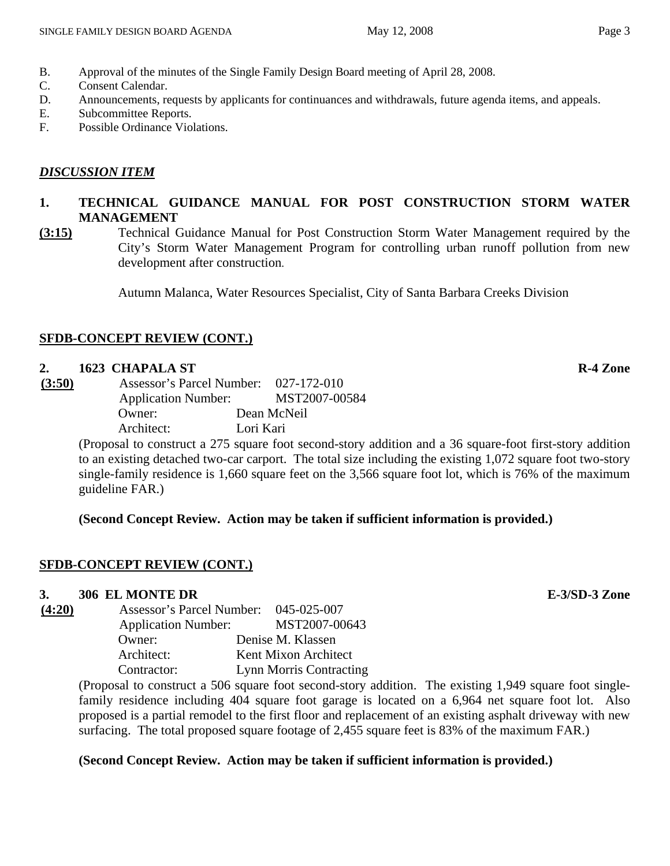- B. Approval of the minutes of the Single Family Design Board meeting of April 28, 2008.
- C. Consent Calendar.
- D. Announcements, requests by applicants for continuances and withdrawals, future agenda items, and appeals.
- E. Subcommittee Reports.
- F. Possible Ordinance Violations.

# *DISCUSSION ITEM*

# **1. TECHNICAL GUIDANCE MANUAL FOR POST CONSTRUCTION STORM WATER MANAGEMENT**

**(3:15)** Technical Guidance Manual for Post Construction Storm Water Management required by the City's Storm Water Management Program for controlling urban runoff pollution from new development after construction.

Autumn Malanca, Water Resources Specialist, City of Santa Barbara Creeks Division

# **SFDB-CONCEPT REVIEW (CONT.)**

## **2. 1623 CHAPALA ST R-4 Zone**

| Assessor's Parcel Number: 027-172-010 |
|---------------------------------------|
| MST2007-00584                         |
| Dean McNeil                           |
| Lori Kari                             |
|                                       |

(Proposal to construct a 275 square foot second-story addition and a 36 square-foot first-story addition to an existing detached two-car carport. The total size including the existing 1,072 square foot two-story single-family residence is 1,660 square feet on the 3,566 square foot lot, which is 76% of the maximum guideline FAR.)

## **(Second Concept Review. Action may be taken if sufficient information is provided.)**

# **SFDB-CONCEPT REVIEW (CONT.)**

# **3. 306 EL MONTE DR E-3/SD-3 Zone**

**(4:20)** Assessor's Parcel Number: 045-025-007 Application Number: MST2007-00643 Owner: Denise M. Klassen Architect: Kent Mixon Architect Contractor: Lynn Morris Contracting

> (Proposal to construct a 506 square foot second-story addition. The existing 1,949 square foot singlefamily residence including 404 square foot garage is located on a 6,964 net square foot lot. Also proposed is a partial remodel to the first floor and replacement of an existing asphalt driveway with new surfacing. The total proposed square footage of 2,455 square feet is 83% of the maximum FAR.)

## **(Second Concept Review. Action may be taken if sufficient information is provided.)**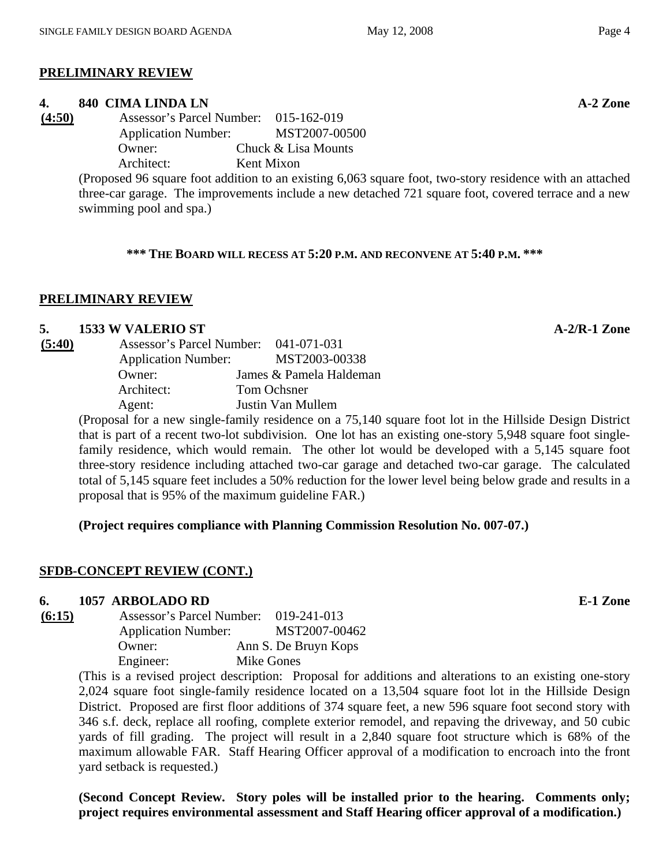# **PRELIMINARY REVIEW**

## **4. 840 CIMA LINDA LN** A-2 Zone

**(4:50)** Assessor's Parcel Number: 015-162-019 Application Number: MST2007-00500 Owner: Chuck & Lisa Mounts Architect: Kent Mixon

> (Proposed 96 square foot addition to an existing 6,063 square foot, two-story residence with an attached three-car garage. The improvements include a new detached 721 square foot, covered terrace and a new swimming pool and spa.)

**\*\*\* THE BOARD WILL RECESS AT 5:20 P.M. AND RECONVENE AT 5:40 P.M. \*\*\*** 

#### **PRELIMINARY REVIEW**

#### **5. 1533 W VALERIO ST A-2/R-1 Zone**

| (5:40) | Assessor's Parcel Number:  | 041-071-031             |
|--------|----------------------------|-------------------------|
|        | <b>Application Number:</b> | MST2003-00338           |
|        | Owner:                     | James & Pamela Haldeman |
|        | Architect:                 | Tom Ochsner             |
|        | Agent:                     | Justin Van Mullem       |
|        |                            |                         |

(Proposal for a new single-family residence on a 75,140 square foot lot in the Hillside Design District that is part of a recent two-lot subdivision. One lot has an existing one-story 5,948 square foot singlefamily residence, which would remain. The other lot would be developed with a 5,145 square foot three-story residence including attached two-car garage and detached two-car garage. The calculated total of 5,145 square feet includes a 50% reduction for the lower level being below grade and results in a proposal that is 95% of the maximum guideline FAR.)

# **(Project requires compliance with Planning Commission Resolution No. 007-07.)**

## **SFDB-CONCEPT REVIEW (CONT.)**

#### **6. 1057 ARBOLADO RD E-1 Zone**

**(6:15)** Assessor's Parcel Number: 019-241-013 Application Number: MST2007-00462 Owner: Ann S. De Bruyn Kops Engineer: Mike Gones

(This is a revised project description: Proposal for additions and alterations to an existing one-story 2,024 square foot single-family residence located on a 13,504 square foot lot in the Hillside Design District. Proposed are first floor additions of 374 square feet, a new 596 square foot second story with 346 s.f. deck, replace all roofing, complete exterior remodel, and repaving the driveway, and 50 cubic yards of fill grading. The project will result in a 2,840 square foot structure which is 68% of the maximum allowable FAR. Staff Hearing Officer approval of a modification to encroach into the front yard setback is requested.)

**(Second Concept Review. Story poles will be installed prior to the hearing. Comments only; project requires environmental assessment and Staff Hearing officer approval of a modification.)**